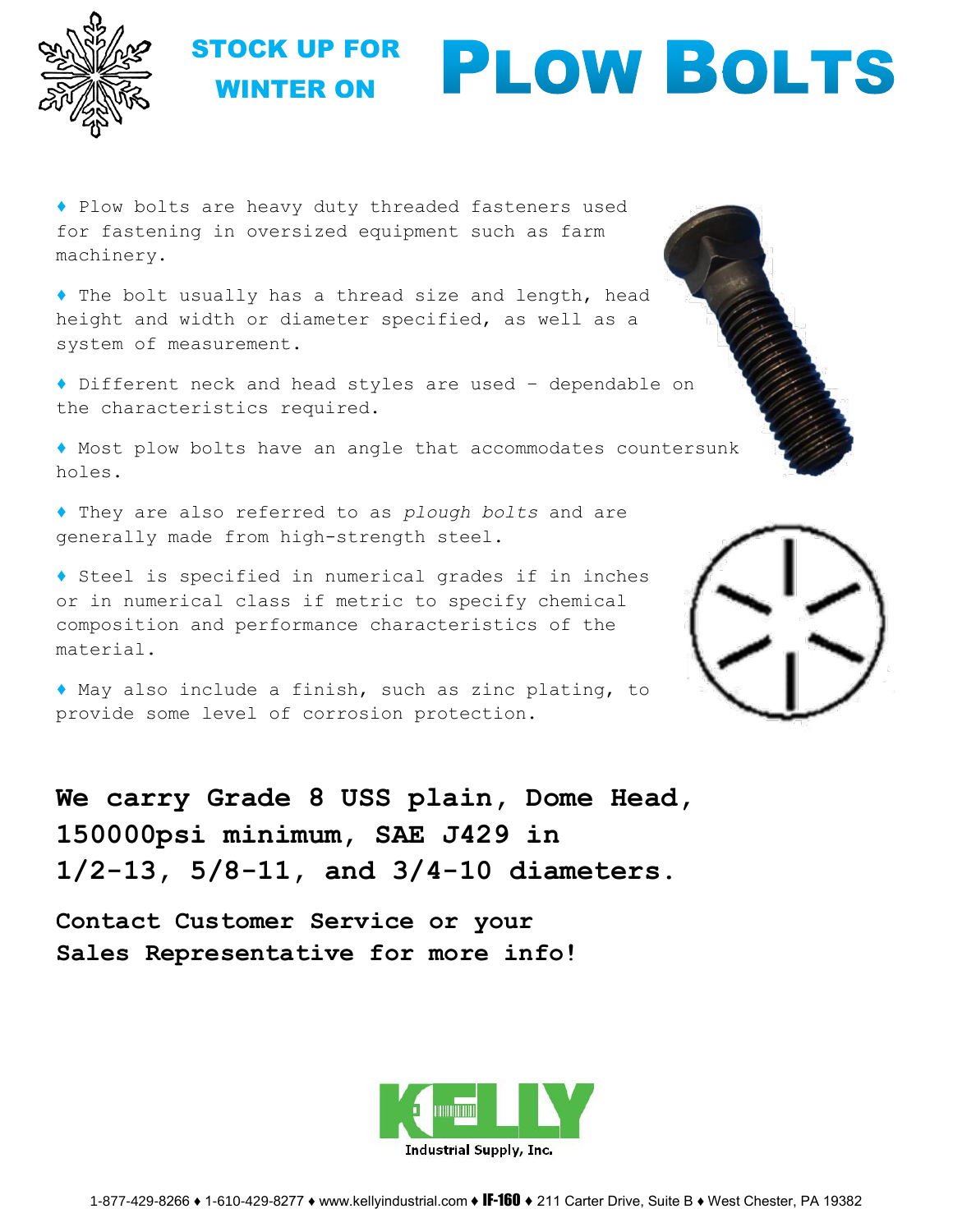

## STOCK UP FOR **PLOW BOLTS** WINTER ON

♦ Plow bolts are heavy duty threaded fasteners used for fastening in oversized equipment such as farm machinery.

♦ The bolt usually has a thread size and length, head height and width or diameter specified, as well as a system of measurement.

♦ Different neck and head styles are used – dependable on the characteristics required.

♦ Most plow bolts have an angle that accommodates countersunk holes.

♦ They are also referred to as *plough bolts* and are generally made from high-strength steel.

♦ Steel is specified in numerical grades if in inches or in numerical class if metric to specify chemical composition and performance characteristics of the material.

♦ May also include a finish, such as zinc plating, to provide some level of corrosion protection.



**We carry Grade 8 USS plain, Dome Head, 150000psi minimum, SAE J429 in 1/2-13, 5/8-11, and 3/4-10 diameters.**

**Contact Customer Service or your Sales Representative for more info!**